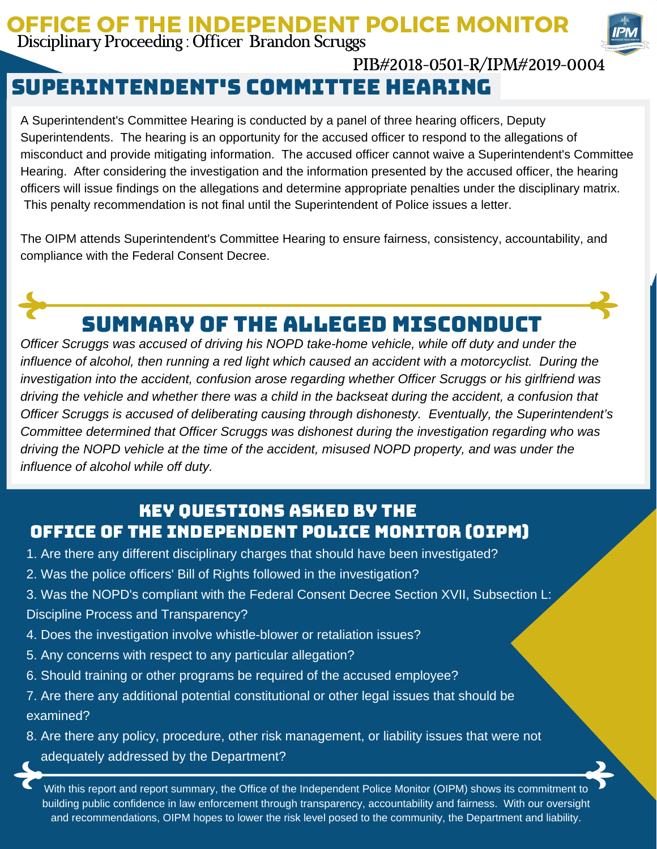## OFFICE OF THE INDEPENDENT POLICE MONITOR Disciplinary Proceeding : Officer Brandon Scruggs



## PIB#2018-0501-R/IPM#2019-0004

## Superintendent's committee hearing

A Superintendent's Committee Hearing is conducted by a panel of three hearing officers, Deputy Superintendents. The hearing is an opportunity for the accused officer to respond to the allegations of misconduct and provide mitigating information. The accused officer cannot waive a Superintendent's Committee Hearing. After considering the investigation and the information presented by the accused officer, the hearing officers will issue findings on the allegations and determine appropriate penalties under the disciplinary matrix. This penalty recommendation is not final until the Superintendent of Police issues a letter.

The OIPM attends Superintendent's Committee Hearing to ensure fairness, consistency, accountability, and compliance with the Federal Consent Decree.



# Summary of the Alleged Misconduct

*Officer Scruggs was accused of driving his NOPD take-home vehicle, while off duty and under the influence of alcohol, then running a red light which caused an accident with a motorcyclist. During the investigation into the accident, confusion arose regarding whether Officer Scruggs or his girlfriend was* driving the vehicle and whether there was a child in the backseat during the accident, a confusion that *Officer Scruggs is accused of deliberating causing through dishonesty. Eventually, the Superintendent's Committee determined that Officer Scruggs was dishonest during the investigation regarding who was driving the NOPD vehicle at the time of the accident, misused NOPD property, and was under the influence of alcohol while off duty.*

## Key Questions Asked by the Office of the Independent Police Monitor (OIPM)

- 1. Are there any different disciplinary charges that should have been investigated?
- 2. Was the police officers' Bill of Rights followed in the investigation?
- 3. Was the NOPD's compliant with the Federal Consent Decree Section XVII, Subsection L: Discipline Process and Transparency?
- 4. Does the investigation involve whistle-blower or retaliation issues?
- 5. Any concerns with respect to any particular allegation?
- 6. Should training or other programs be required of the accused employee?
- 7. Are there any additional potential constitutional or other legal issues that should be examined?
- 8. Are there any policy, procedure, other risk management, or liability issues that were not adequately addressed by the Department?

With this report and report summary, the Office of the Independent Police Monitor (OIPM) shows its commitment to building public confidence in law enforcement through transparency, accountability and fairness. With our oversight and recommendations, OIPM hopes to lower the risk level posed to the community, the Department and liability.